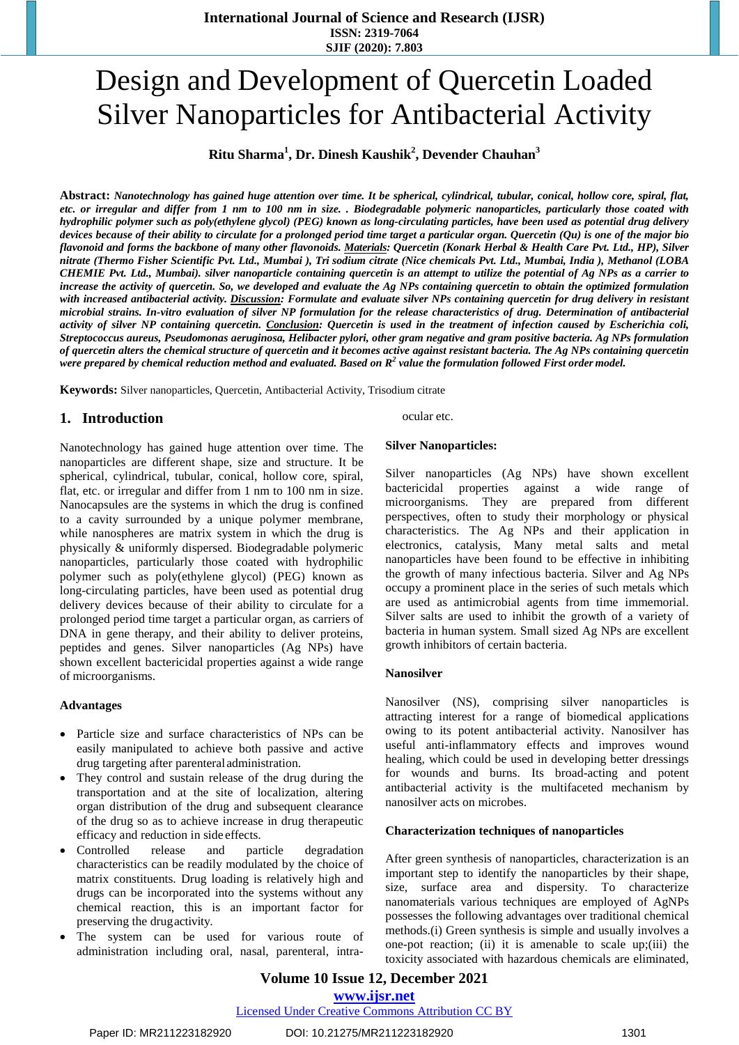# Design and Development of Quercetin Loaded Silver Nanoparticles for Antibacterial Activity

**Ritu Sharma<sup>1</sup> , Dr. Dinesh Kaushik<sup>2</sup> , Devender Chauhan<sup>3</sup>**

Abstract: Nanotechnology has gained huge attention over time. It be spherical, cylindrical, tubular, conical, hollow core, spiral, flat, etc. or irregular and differ from 1 nm to 100 nm in size. . Biodegradable polymeric nanoparticles, particularly those coated with hydrophilic polymer such as poly(ethylene glycol) (PEG) known as long-circulating particles, have been used as potential drug delivery devices because of their ability to circulate for a prolonged period time target a particular organ. Quercetin  $(Qu)$  is one of the major bio flavonoid and forms the backbone of many other flavonoids. <u>Materials</u>: Quercetin (Konark Herbal & Health Care Pvt. Ltd., HP), Silver nitrate (Thermo Fisher Scientific Pvt. Ltd., Mumbai), Tri sodium citrate (Nice chemicals Pvt. Ltd., Mumbai, India), Methanol (LOBA CHEMIE Pvt. Ltd., Mumbai). silver nanoparticle containing quercetin is an attempt to utilize the potential of Ag NPs as a carrier to increase the activity of quercetin. So, we developed and evaluate the Ag NPs containing quercetin to obtain the optimized formulation with increased antibacterial activity. Discussion: Formulate and evaluate silver NPs containing quercetin for drug delivery in resistant microbial strains. In-vitro evaluation of silver NP formulation for the release characteristics of drug. Determination of antibacterial activity of silver NP containing quercetin. Conclusion: Quercetin is used in the treatment of infection caused by Escherichia coli, Streptococcus aureus, Pseudomonas aeruginosa, Helibacter pylori, other gram negative and gram positive bacteria. Ag NPs formulation of quercetin alters the chemical structure of quercetin and it becomes active against resistant bacteria. The Ag NPs containing quercetin were prepared by chemical reduction method and evaluated. Based on  $R^2$  value the formulation followed First order model.

**Keywords:** Silver nanoparticles, Quercetin, Antibacterial Activity, Trisodium citrate

# **1. Introduction**

Nanotechnology has gained huge attention over time. The nanoparticles are different shape, size and structure. It be spherical, cylindrical, tubular, conical, hollow core, spiral, flat, etc. or irregular and differ from 1 nm to 100 nm in size. Nanocapsules are the systems in which the drug is confined to a cavity surrounded by a unique polymer membrane, while nanospheres are matrix system in which the drug is physically & uniformly dispersed. Biodegradable polymeric nanoparticles, particularly those coated with hydrophilic polymer such as poly(ethylene glycol) (PEG) known as long-circulating particles, have been used as potential drug delivery devices because of their ability to circulate for a prolonged period time target a particular organ, as carriers of DNA in gene therapy, and their ability to deliver proteins, peptides and genes. Silver nanoparticles (Ag NPs) have shown excellent bactericidal properties against a wide range of microorganisms.

# **Advantages**

- Particle size and surface characteristics of NPs can be easily manipulated to achieve both passive and active drug targeting after parenteral administration.
- They control and sustain release of the drug during the transportation and at the site of localization, altering organ distribution of the drug and subsequent clearance of the drug so as to achieve increase in drug therapeutic efficacy and reduction in side effects.
- Controlled release and particle degradation characteristics can be readily modulated by the choice of matrix constituents. Drug loading is relatively high and drugs can be incorporated into the systems without any chemical reaction, this is an important factor for preserving the drugactivity.
- The system can be used for various route of administration including oral, nasal, parenteral, intra-

ocular etc.

#### **Silver Nanoparticles:**

Silver nanoparticles (Ag NPs) have shown excellent bactericidal properties against a wide range of microorganisms. They are prepared from different perspectives, often to study their morphology or physical characteristics. The Ag NPs and their application in electronics, catalysis, Many metal salts and metal nanoparticles have been found to be effective in inhibiting the growth of many infectious bacteria. Silver and Ag NPs occupy a prominent place in the series of such metals which are used as antimicrobial agents from time immemorial. Silver salts are used to inhibit the growth of a variety of bacteria in human system. Small sized Ag NPs are excellent growth inhibitors of certain bacteria.

#### **Nanosilver**

Nanosilver (NS), comprising silver nanoparticles is attracting interest for a range of biomedical applications owing to its potent antibacterial activity. Nanosilver has useful anti-inflammatory effects and improves wound healing, which could be used in developing better dressings for wounds and burns. Its broad-acting and potent antibacterial activity is the multifaceted mechanism by nanosilver acts on microbes.

#### **Characterization techniques of nanoparticles**

After green synthesis of nanoparticles, characterization is an important step to identify the nanoparticles by their shape, size, surface area and dispersity. To characterize nanomaterials various techniques are employed of AgNPs possesses the following advantages over traditional chemical methods.(i) Green synthesis is simple and usually involves a one-pot reaction; (ii) it is amenable to scale up;(iii) the toxicity associated with hazardous chemicals are eliminated,

# **Volume 10 Issue 12, December 2021 www.ijsr.net**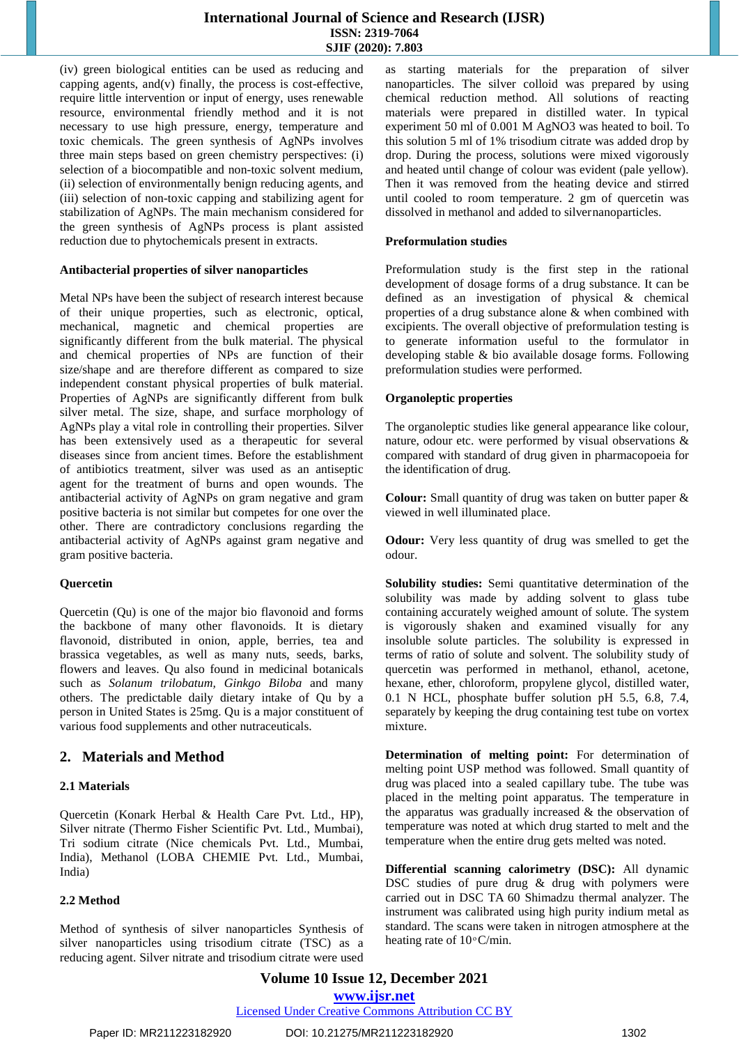(iv) green biological entities can be used as reducing and capping agents, and(v) finally, the process is cost-effective, require little intervention or input of energy, uses renewable resource, environmental friendly method and it is not necessary to use high pressure, energy, temperature and toxic chemicals. The green synthesis of AgNPs involves three main steps based on green chemistry perspectives: (i) selection of a biocompatible and non-toxic solvent medium, (ii) selection of environmentally benign reducing agents, and (iii) selection of non-toxic capping and stabilizing agent for stabilization of AgNPs. The main mechanism considered for the green synthesis of AgNPs process is plant assisted reduction due to phytochemicals present in extracts.

#### **Antibacterial properties of silver nanoparticles**

Metal NPs have been the subject of research interest because of their unique properties, such as electronic, optical, mechanical, magnetic and chemical properties are significantly different from the bulk material. The physical and chemical properties of NPs are function of their size/shape and are therefore different as compared to size independent constant physical properties of bulk material. Properties of AgNPs are significantly different from bulk silver metal. The size, shape, and surface morphology of AgNPs play a vital role in controlling their properties. Silver has been extensively used as a therapeutic for several diseases since from ancient times. Before the establishment of antibiotics treatment, silver was used as an antiseptic agent for the treatment of burns and open wounds. The antibacterial activity of AgNPs on gram negative and gram positive bacteria is not similar but competes for one over the other. There are contradictory conclusions regarding the antibacterial activity of AgNPs against gram negative and gram positive bacteria.

# **Quercetin**

Quercetin (Qu) is one of the major bio flavonoid and forms the backbone of many other flavonoids. It is dietary flavonoid, distributed in onion, apple, berries, tea and brassica vegetables, as well as many nuts, seeds, barks, flowers and leaves. Qu also found in medicinal botanicals such as *Solanum trilobatum, Ginkgo Biloba* and many others. The predictable daily dietary intake of Qu by a person in United States is 25mg. Qu is a major constituent of various food supplements and other nutraceuticals.

# **2. Materials and Method**

# **2.1 Materials**

Quercetin (Konark Herbal & Health Care Pvt. Ltd., HP), Silver nitrate (Thermo Fisher Scientific Pvt. Ltd., Mumbai), Tri sodium citrate (Nice chemicals Pvt. Ltd., Mumbai, India), Methanol (LOBA CHEMIE Pvt. Ltd., Mumbai, India)

# **2.2 Method**

Method of synthesis of silver nanoparticles Synthesis of silver nanoparticles using trisodium citrate (TSC) as a reducing agent. Silver nitrate and trisodium citrate were used as starting materials for the preparation of silver nanoparticles. The silver colloid was prepared by using chemical reduction method. All solutions of reacting materials were prepared in distilled water. In typical experiment 50 ml of 0.001 M AgNO3 was heated to boil. To this solution 5 ml of 1% trisodium citrate was added drop by drop. During the process, solutions were mixed vigorously and heated until change of colour was evident (pale yellow). Then it was removed from the heating device and stirred until cooled to room temperature. 2 gm of quercetin was dissolved in methanol and added to silvernanoparticles.

# **Preformulation studies**

Preformulation study is the first step in the rational development of dosage forms of a drug substance. It can be defined as an investigation of physical & chemical properties of a drug substance alone & when combined with excipients. The overall objective of preformulation testing is to generate information useful to the formulator in developing stable & bio available dosage forms. Following preformulation studies were performed.

# **Organoleptic properties**

The organoleptic studies like general appearance like colour, nature, odour etc. were performed by visual observations & compared with standard of drug given in pharmacopoeia for the identification of drug.

**Colour:** Small quantity of drug was taken on butter paper & viewed in well illuminated place.

**Odour:** Very less quantity of drug was smelled to get the odour.

**Solubility studies:** Semi quantitative determination of the solubility was made by adding solvent to glass tube containing accurately weighed amount of solute. The system is vigorously shaken and examined visually for any insoluble solute particles. The solubility is expressed in terms of ratio of solute and solvent. The solubility study of quercetin was performed in methanol, ethanol, acetone, hexane, ether, chloroform, propylene glycol, distilled water, 0.1 N HCL, phosphate buffer solution pH 5.5, 6.8, 7.4, separately by keeping the drug containing test tube on vortex mixture.

**Determination of melting point:** For determination of melting point USP method was followed. Small quantity of drug was placed into a sealed capillary tube. The tube was placed in the melting point apparatus. The temperature in the apparatus was gradually increased & the observation of temperature was noted at which drug started to melt and the temperature when the entire drug gets melted was noted.

**Differential scanning calorimetry (DSC):** All dynamic DSC studies of pure drug & drug with polymers were carried out in DSC TA 60 Shimadzu thermal analyzer. The instrument was calibrated using high purity indium metal as standard. The scans were taken in nitrogen atmosphere at the heating rate of  $10^{\circ}$ C/min.

**Volume 10 Issue 12, December 2021 www.ijsr.net** Licensed Under Creative Commons Attribution CC BY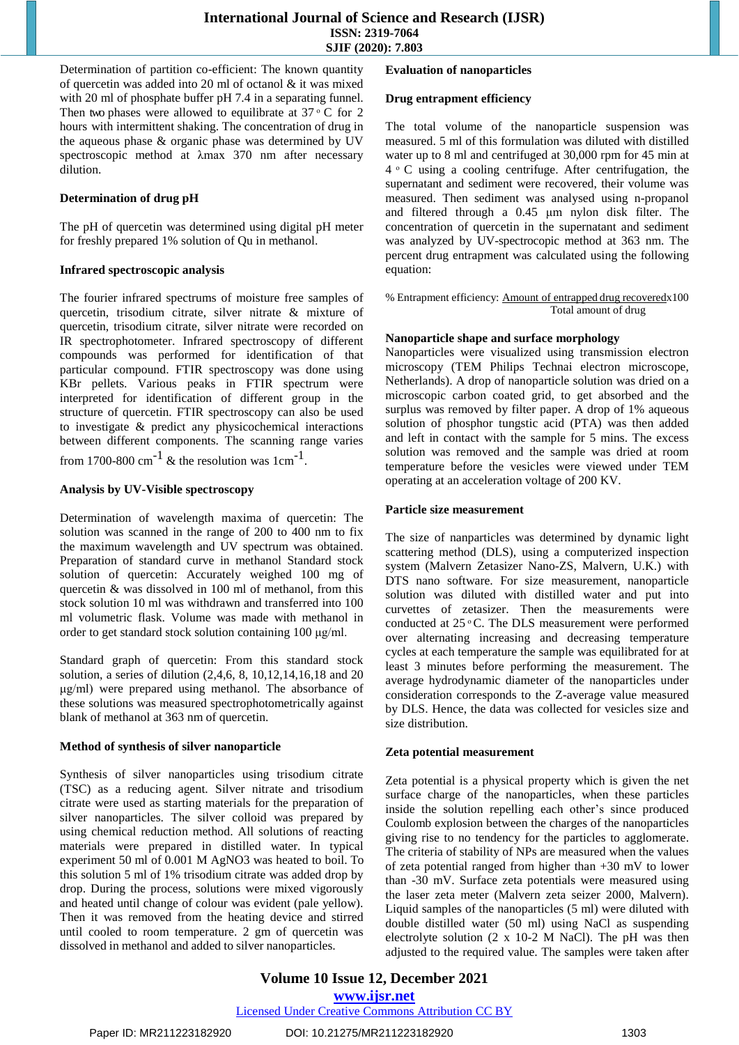Determination of partition co-efficient: The known quantity of quercetin was added into 20 ml of octanol & it was mixed with 20 ml of phosphate buffer pH 7.4 in a separating funnel. Then two phases were allowed to equilibrate at  $37 \,^{\circ}$  C for 2 hours with intermittent shaking. The concentration of drug in the aqueous phase & organic phase was determined by UV spectroscopic method at λmax 370 nm after necessary dilution.

# **Determination of drug pH**

The pH of quercetin was determined using digital pH meter for freshly prepared 1% solution of Qu in methanol.

# **Infrared spectroscopic analysis**

The fourier infrared spectrums of moisture free samples of quercetin, trisodium citrate, silver nitrate & mixture of quercetin, trisodium citrate, silver nitrate were recorded on IR spectrophotometer. Infrared spectroscopy of different compounds was performed for identification of that particular compound. FTIR spectroscopy was done using KBr pellets. Various peaks in FTIR spectrum were interpreted for identification of different group in the structure of quercetin. FTIR spectroscopy can also be used to investigate & predict any physicochemical interactions between different components. The scanning range varies from 1700-800 cm<sup>-1</sup> & the resolution was  $1 \text{cm}^{-1}$ .

# **Analysis by UV-Visible spectroscopy**

Determination of wavelength maxima of quercetin: The solution was scanned in the range of 200 to 400 nm to fix the maximum wavelength and UV spectrum was obtained. Preparation of standard curve in methanol Standard stock solution of quercetin: Accurately weighed 100 mg of quercetin & was dissolved in 100 ml of methanol, from this stock solution 10 ml was withdrawn and transferred into 100 ml volumetric flask. Volume was made with methanol in order to get standard stock solution containing 100 μg/ml.

Standard graph of quercetin: From this standard stock solution, a series of dilution (2,4,6, 8, 10,12,14,16,18 and 20 μg/ml) were prepared using methanol. The absorbance of these solutions was measured spectrophotometrically against blank of methanol at 363 nm of quercetin.

# **Method of synthesis of silver nanoparticle**

Synthesis of silver nanoparticles using trisodium citrate (TSC) as a reducing agent. Silver nitrate and trisodium citrate were used as starting materials for the preparation of silver nanoparticles. The silver colloid was prepared by using chemical reduction method. All solutions of reacting materials were prepared in distilled water. In typical experiment 50 ml of 0.001 M AgNO3 was heated to boil. To this solution 5 ml of 1% trisodium citrate was added drop by drop. During the process, solutions were mixed vigorously and heated until change of colour was evident (pale yellow). Then it was removed from the heating device and stirred until cooled to room temperature. 2 gm of quercetin was dissolved in methanol and added to silver nanoparticles.

# **Evaluation of nanoparticles**

# **Drug entrapment efficiency**

The total volume of the nanoparticle suspension was measured. 5 ml of this formulation was diluted with distilled water up to 8 ml and centrifuged at 30,000 rpm for 45 min at  $4 \circ C$  using a cooling centrifuge. After centrifugation, the supernatant and sediment were recovered, their volume was measured. Then sediment was analysed using n-propanol and filtered through a 0.45 μm nylon disk filter. The concentration of quercetin in the supernatant and sediment was analyzed by UV-spectrocopic method at 363 nm. The percent drug entrapment was calculated using the following equation:

#### % Entrapment efficiency: Amount of entrapped drug recoveredx100 Total amount of drug

# **Nanoparticle shape and surface morphology**

Nanoparticles were visualized using transmission electron microscopy (TEM Philips Technai electron microscope, Netherlands). A drop of nanoparticle solution was dried on a microscopic carbon coated grid, to get absorbed and the surplus was removed by filter paper. A drop of 1% aqueous solution of phosphor tungstic acid (PTA) was then added and left in contact with the sample for 5 mins. The excess solution was removed and the sample was dried at room temperature before the vesicles were viewed under TEM operating at an acceleration voltage of 200 KV.

# **Particle size measurement**

The size of nanparticles was determined by dynamic light scattering method (DLS), using a computerized inspection system (Malvern Zetasizer Nano-ZS, Malvern, U.K.) with DTS nano software. For size measurement, nanoparticle solution was diluted with distilled water and put into curvettes of zetasizer. Then the measurements were conducted at  $25^{\circ}$ C. The DLS measurement were performed over alternating increasing and decreasing temperature cycles at each temperature the sample was equilibrated for at least 3 minutes before performing the measurement. The average hydrodynamic diameter of the nanoparticles under consideration corresponds to the Z-average value measured by DLS. Hence, the data was collected for vesicles size and size distribution.

# **Zeta potential measurement**

Zeta potential is a physical property which is given the net surface charge of the nanoparticles, when these particles inside the solution repelling each other's since produced Coulomb explosion between the charges of the nanoparticles giving rise to no tendency for the particles to agglomerate. The criteria of stability of NPs are measured when the values of zeta potential ranged from higher than +30 mV to lower than -30 mV. Surface zeta potentials were measured using the laser zeta meter (Malvern zeta seizer 2000, Malvern). Liquid samples of the nanoparticles (5 ml) were diluted with double distilled water (50 ml) using NaCl as suspending electrolyte solution (2 x 10-2 M NaCl). The pH was then adjusted to the required value. The samples were taken after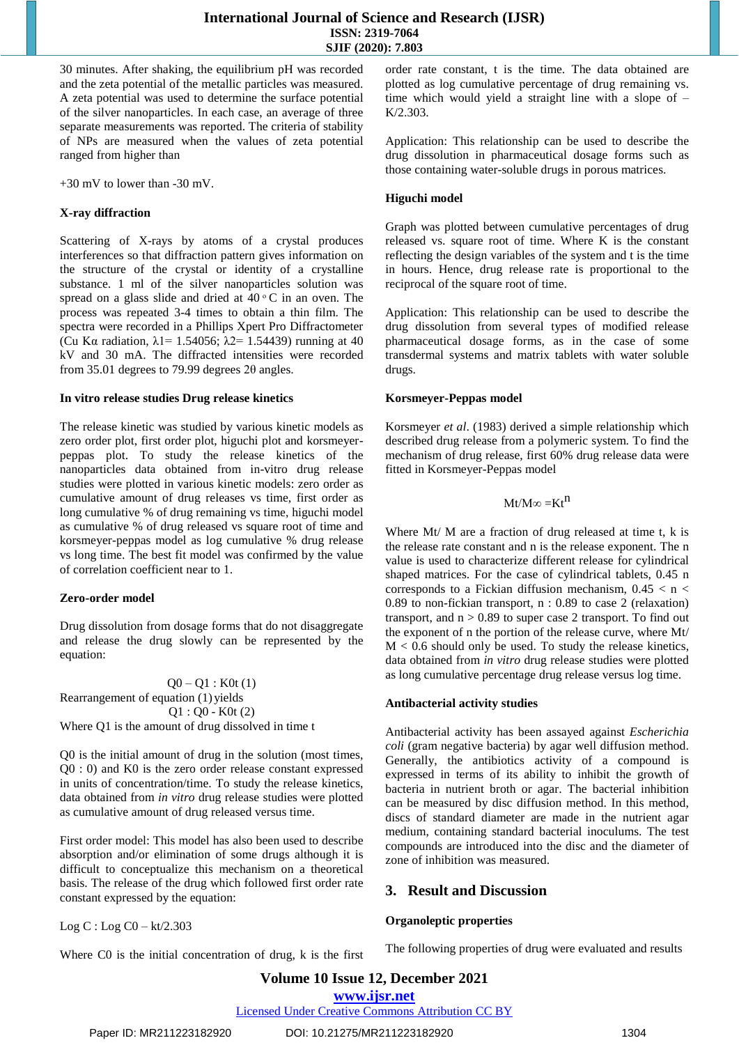30 minutes. After shaking, the equilibrium pH was recorded and the zeta potential of the metallic particles was measured. A zeta potential was used to determine the surface potential of the silver nanoparticles. In each case, an average of three separate measurements was reported. The criteria of stability of NPs are measured when the values of zeta potential ranged from higher than

+30 mV to lower than -30 mV.

# **X-ray diffraction**

Scattering of X-rays by atoms of a crystal produces interferences so that diffraction pattern gives information on the structure of the crystal or identity of a crystalline substance. 1 ml of the silver nanoparticles solution was spread on a glass slide and dried at  $40\degree$ C in an oven. The process was repeated 3-4 times to obtain a thin film. The spectra were recorded in a Phillips Xpert Pro Diffractometer (Cu Kα radiation,  $\lambda$ 1 = 1.54056;  $\lambda$ 2 = 1.54439) running at 40 kV and 30 mA. The diffracted intensities were recorded from 35.01 degrees to 79.99 degrees 2θ angles.

# **In vitro release studies Drug release kinetics**

The release kinetic was studied by various kinetic models as zero order plot, first order plot, higuchi plot and korsmeyerpeppas plot. To study the release kinetics of the nanoparticles data obtained from in-vitro drug release studies were plotted in various kinetic models: zero order as cumulative amount of drug releases vs time, first order as long cumulative % of drug remaining vs time, higuchi model as cumulative % of drug released vs square root of time and korsmeyer-peppas model as log cumulative % drug release vs long time. The best fit model was confirmed by the value of correlation coefficient near to 1.

# **Zero-order model**

Drug dissolution from dosage forms that do not disaggregate and release the drug slowly can be represented by the equation:

 $Q0 - Q1 : K0t(1)$ Rearrangement of equation (1) yields  $Q1 : Q0 - K0t(2)$ Where Q1 is the amount of drug dissolved in time t

Q0 is the initial amount of drug in the solution (most times, Q0 : 0) and K0 is the zero order release constant expressed in units of concentration/time. To study the release kinetics, data obtained from *in vitro* drug release studies were plotted as cumulative amount of drug released versus time.

First order model: This model has also been used to describe absorption and/or elimination of some drugs although it is difficult to conceptualize this mechanism on a theoretical basis. The release of the drug which followed first order rate constant expressed by the equation:

Log  $C:$  Log  $C0 - kt/2.303$ 

Where C0 is the initial concentration of drug, k is the first

order rate constant, t is the time. The data obtained are plotted as log cumulative percentage of drug remaining vs. time which would yield a straight line with a slope of –  $K/2.303$ 

Application: This relationship can be used to describe the drug dissolution in pharmaceutical dosage forms such as those containing water-soluble drugs in porous matrices.

# **Higuchi model**

Graph was plotted between cumulative percentages of drug released vs. square root of time. Where K is the constant reflecting the design variables of the system and t is the time in hours. Hence, drug release rate is proportional to the reciprocal of the square root of time.

Application: This relationship can be used to describe the drug dissolution from several types of modified release pharmaceutical dosage forms, as in the case of some transdermal systems and matrix tablets with water soluble drugs.

# **Korsmeyer-Peppas model**

Korsmeyer *et al*. (1983) derived a simple relationship which described drug release from a polymeric system. To find the mechanism of drug release, first 60% drug release data were fitted in Korsmeyer-Peppas model

$$
Mt/M\infty=Kt^n
$$

Where Mt/ M are a fraction of drug released at time t, k is the release rate constant and n is the release exponent. The n value is used to characterize different release for cylindrical shaped matrices. For the case of cylindrical tablets, 0.45 n corresponds to a Fickian diffusion mechanism,  $0.45 < n <$ 0.89 to non-fickian transport, n : 0.89 to case 2 (relaxation) transport, and  $n > 0.89$  to super case 2 transport. To find out the exponent of n the portion of the release curve, where Mt/  $M < 0.6$  should only be used. To study the release kinetics, data obtained from *in vitro* drug release studies were plotted as long cumulative percentage drug release versus log time.

# **Antibacterial activity studies**

Antibacterial activity has been assayed against *Escherichia coli* (gram negative bacteria) by agar well diffusion method. Generally, the antibiotics activity of a compound is expressed in terms of its ability to inhibit the growth of bacteria in nutrient broth or agar. The bacterial inhibition can be measured by disc diffusion method. In this method, discs of standard diameter are made in the nutrient agar medium, containing standard bacterial inoculums. The test compounds are introduced into the disc and the diameter of zone of inhibition was measured.

# **3. Result and Discussion**

# **Organoleptic properties**

The following properties of drug were evaluated and results

# **Volume 10 Issue 12, December 2021**

**www.ijsr.net** Licensed Under Creative Commons Attribution CC BY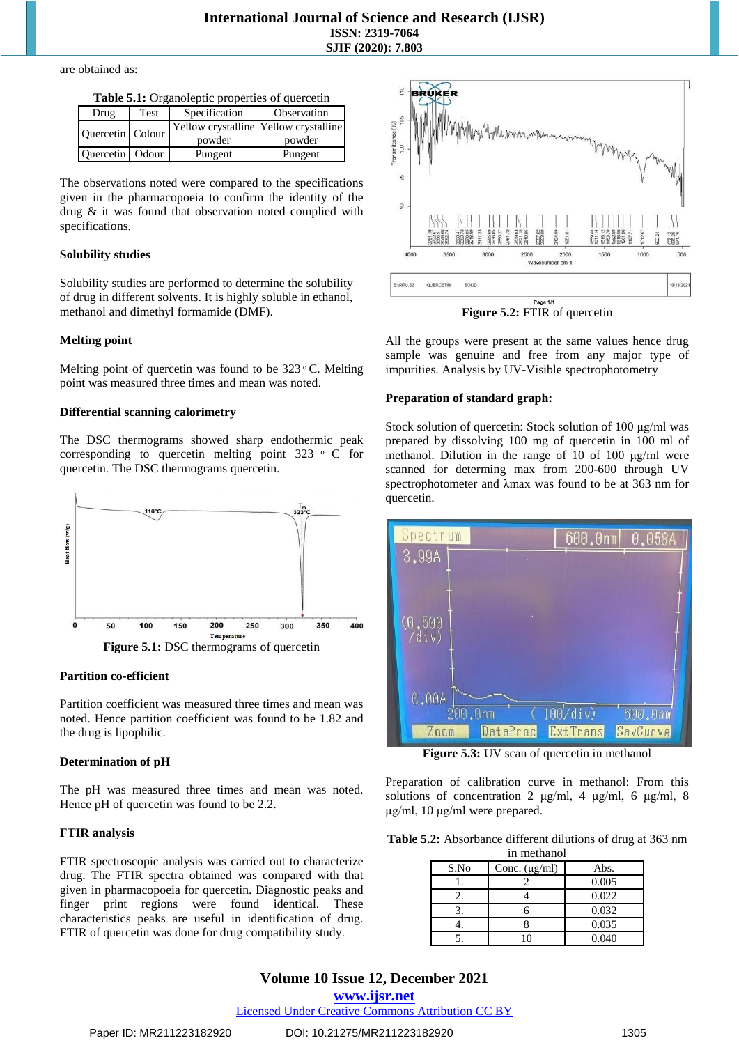are obtained as:

| <b>Tuble care of canole properties</b> of quelecting |      |               |                                                 |  |
|------------------------------------------------------|------|---------------|-------------------------------------------------|--|
| Drug                                                 | Test | Specification | Observation                                     |  |
| Quercetin Colour                                     |      | powder        | Yellow crystalline Yellow crystalline<br>powder |  |
| Ouercetin Odour                                      |      | Pungent       | Pungent                                         |  |

**Table 5.1:** Organoleptic properties of quercetin

The observations noted were compared to the specifications given in the pharmacopoeia to confirm the identity of the drug & it was found that observation noted complied with specifications.

#### **Solubility studies**

Solubility studies are performed to determine the solubility of drug in different solvents. It is highly soluble in ethanol, methanol and dimethyl formamide (DMF).

# **Melting point**

Melting point of quercetin was found to be  $323 \degree C$ . Melting point was measured three times and mean was noted.

#### **Differential scanning calorimetry**

The DSC thermograms showed sharp endothermic peak corresponding to quercetin melting point  $323 \circ C$  for quercetin. The DSC thermograms quercetin.



**Partition co-efficient**

Partition coefficient was measured three times and mean was noted. Hence partition coefficient was found to be 1.82 and the drug is lipophilic.

# **Determination of pH**

The pH was measured three times and mean was noted. Hence pH of quercetin was found to be 2.2.

# **FTIR analysis**

FTIR spectroscopic analysis was carried out to characterize drug. The FTIR spectra obtained was compared with that given in pharmacopoeia for quercetin. Diagnostic peaks and finger print regions were found identical. These characteristics peaks are useful in identification of drug. FTIR of quercetin was done for drug compatibility study.



**Figure 5.2:** FTIR of quercetin

All the groups were present at the same values hence drug sample was genuine and free from any major type of impurities. Analysis by UV-Visible spectrophotometry

# **Preparation of standard graph:**

Stock solution of quercetin: Stock solution of 100 μg/ml was prepared by dissolving 100 mg of quercetin in 100 ml of methanol. Dilution in the range of 10 of 100 μg/ml were scanned for determing max from 200-600 through UV spectrophotometer and λmax was found to be at 363 nm for quercetin.



**Figure 5.3:** UV scan of quercetin in methanol

Preparation of calibration curve in methanol: From this solutions of concentration 2 μg/ml, 4 μg/ml, 6 μg/ml, 8 μg/ml, 10 μg/ml were prepared.

**Table 5.2:** Absorbance different dilutions of drug at 363 nm in methanol

| ш шешапот |                    |       |  |  |
|-----------|--------------------|-------|--|--|
| S.No      | Conc. $(\mu g/ml)$ | Abs.  |  |  |
|           |                    | 0.005 |  |  |
| 1. .      |                    | 0.022 |  |  |
|           |                    | 0.032 |  |  |
|           |                    | 0.035 |  |  |
|           |                    | 0.040 |  |  |

# **Volume 10 Issue 12, December 2021 www.ijsr.net**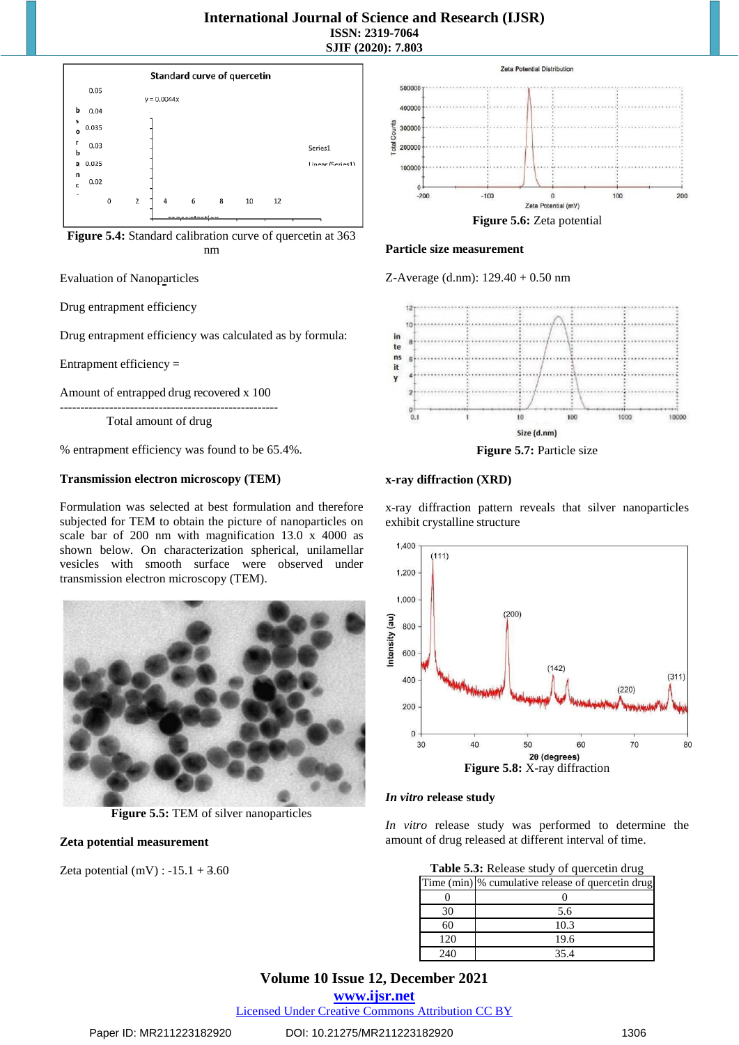

**Figure 5.4:** Standard calibration curve of quercetin at 363 nm

Evaluation of Nanoparticles

Drug entrapment efficiency

Drug entrapment efficiency was calculated as by formula:

Entrapment efficiency =

Amount of entrapped drug recovered x 100

----------------------------------------------------- Total amount of drug

% entrapment efficiency was found to be 65.4%.

# **Transmission electron microscopy (TEM)**

Formulation was selected at best formulation and therefore subjected for TEM to obtain the picture of nanoparticles on scale bar of 200 nm with magnification 13.0 x 4000 as shown below. On characterization spherical, unilamellar vesicles with smooth surface were observed under transmission electron microscopy (TEM).



**Figure 5.5:** TEM of silver nanoparticles

# **Zeta potential measurement**

Zeta potential  $(mV)$  :  $-15.1 + 3.60$ 



#### **Particle size measurement**

Z-Average (d.nm): 129.40 + 0.50 nm



**Figure 5.7:** Particle size

# **x-ray diffraction (XRD)**

x-ray diffraction pattern reveals that silver nanoparticles exhibit crystalline structure



*In vitro* **release study**

*In vitro* release study was performed to determine the amount of drug released at different interval of time.

| Table 5.3: Release study of quercetin drug |                                                   |  |  |
|--------------------------------------------|---------------------------------------------------|--|--|
|                                            | Time (min) % cumulative release of quercetin drug |  |  |
|                                            |                                                   |  |  |
| 30                                         | 5.6                                               |  |  |
| 60                                         | 10.3                                              |  |  |
| 120                                        | 19.6                                              |  |  |
| 240                                        | 35.4                                              |  |  |

# **Volume 10 Issue 12, December 2021**

**www.ijsr.net**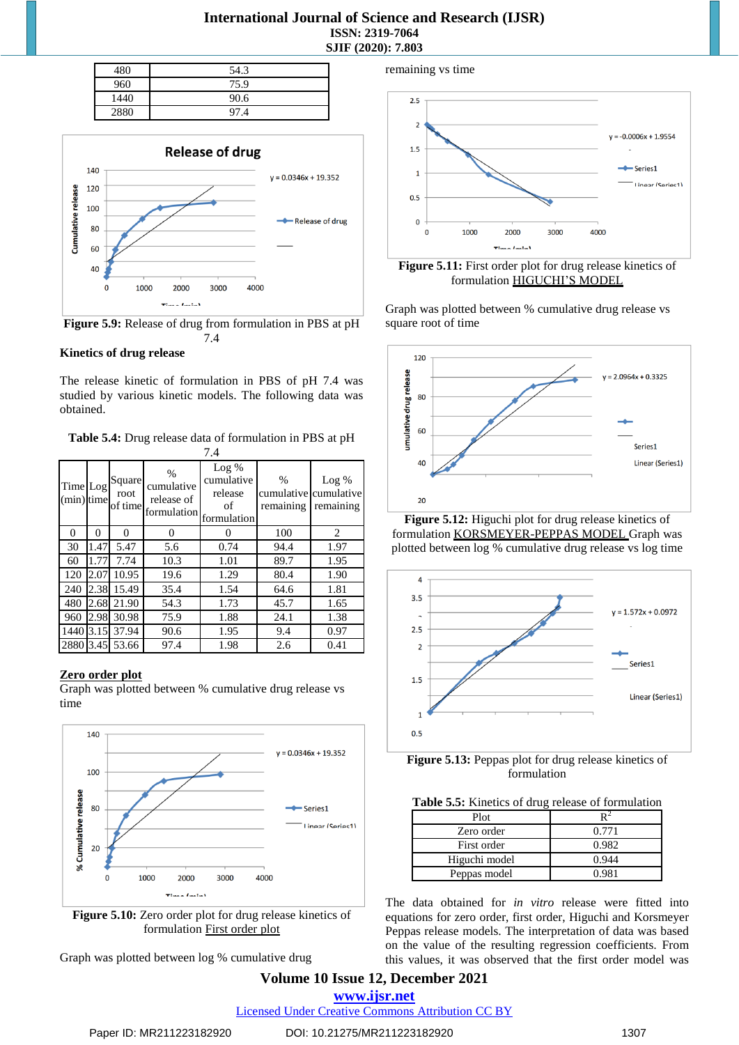# **International Journal of Science and Research (IJSR) ISSN: 2319-7064 SJIF (2020): 7.803**

| 480  | 54.3 |
|------|------|
| 960  | 75.9 |
| 1440 | 90.6 |
| 2880 | 97.4 |



**Figure 5.9:** Release of drug from formulation in PBS at pH 7.4

# **Kinetics of drug release**

The release kinetic of formulation in PBS of pH 7.4 was studied by various kinetic models. The following data was obtained.

**Table 5.4:** Drug release data of formulation in PBS at pH 7.4

| Time Log<br>(min) time |      | Square<br>root<br>of time | $\frac{0}{0}$<br>cumulative<br>release of<br>formulation | $Log\%$<br>cumulative<br>release<br>of<br>formulation | $\%$<br>remaining | $Log\%$<br>cumulative cumulative<br>remaining |
|------------------------|------|---------------------------|----------------------------------------------------------|-------------------------------------------------------|-------------------|-----------------------------------------------|
| 0                      | 0    | 0                         | 0                                                        |                                                       | 100               | 2                                             |
| 30                     | 1.47 | 5.47                      | 5.6                                                      | 0.74                                                  | 94.4              | 1.97                                          |
| 60                     | 1.77 | 7.74                      | 10.3                                                     | 1.01                                                  | 89.7              | 1.95                                          |
| 120                    | 2.07 | 10.95                     | 19.6                                                     | 1.29                                                  | 80.4              | 1.90                                          |
| 240                    | 2.38 | 15.49                     | 35.4                                                     | 1.54                                                  | 64.6              | 1.81                                          |
| 480                    | 2.68 | 21.90                     | 54.3                                                     | 1.73                                                  | 45.7              | 1.65                                          |
| 960                    | 2.98 | 30.98                     | 75.9                                                     | 1.88                                                  | 24.1              | 1.38                                          |
| 1440                   | 3.15 | 37.94                     | 90.6                                                     | 1.95                                                  | 9.4               | 0.97                                          |
|                        |      | 2880 3.45 53.66           | 97.4                                                     | 1.98                                                  | 2.6               | 0.41                                          |

# **Zero order plot**

Graph was plotted between % cumulative drug release vs time



formulation First order plot

Graph was plotted between log % cumulative drug



**Figure 5.11:** First order plot for drug release kinetics of formulation HIGUCHI'S MODEL

Graph was plotted between % cumulative drug release vs square root of time



**Figure 5.12:** Higuchi plot for drug release kinetics of formulation KORSMEYER-PEPPAS MODEL Graph was plotted between log % cumulative drug release vs log time





| Plot          |       |
|---------------|-------|
| Zero order    | 0.771 |
| First order   | 0.982 |
| Higuchi model | 0.944 |
| Peppas model  | N 981 |

The data obtained for *in vitro* release were fitted into equations for zero order, first order, Higuchi and Korsmeyer Peppas release models. The interpretation of data was based on the value of the resulting regression coefficients. From this values, it was observed that the first order model was

# **Volume 10 Issue 12, December 2021 www.ijsr.net**

Licensed Under Creative Commons Attribution CC BY

remaining vs time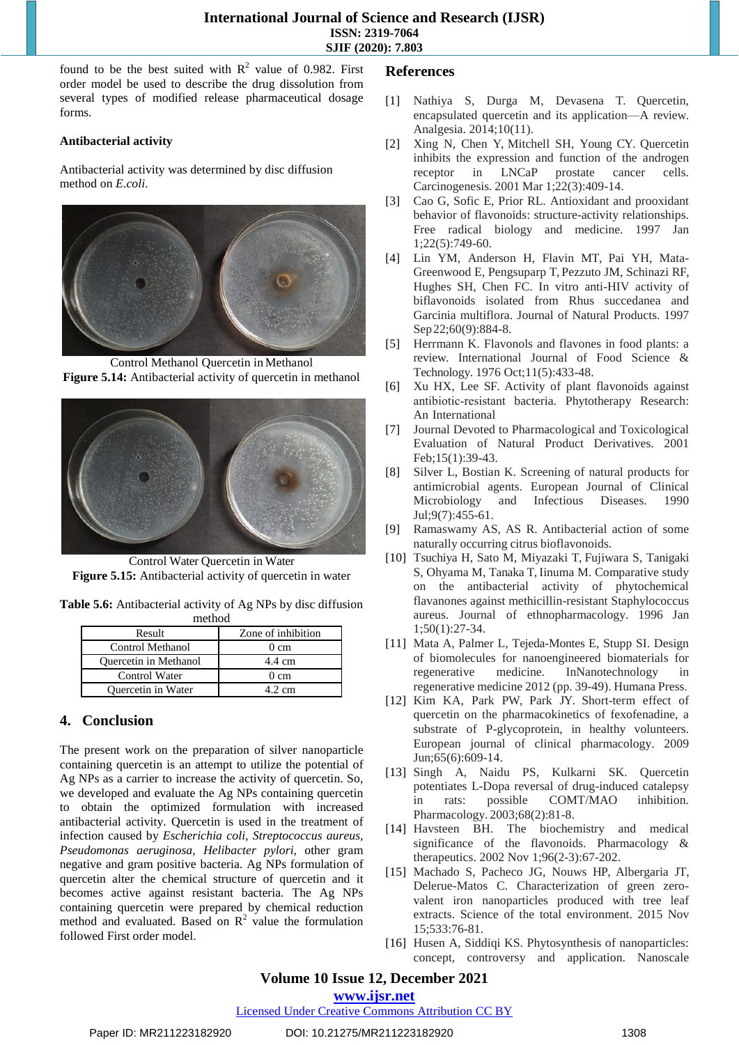found to be the best suited with  $R^2$  value of 0.982. First order model be used to describe the drug dissolution from several types of modified release pharmaceutical dosage forms.

# **Antibacterial activity**

Antibacterial activity was determined by disc diffusion method on *E.coli*.



Control Methanol Quercetin in Methanol **Figure 5.14:** Antibacterial activity of quercetin in methanol



Control Water Quercetin in Water **Figure 5.15:** Antibacterial activity of quercetin in water

**Table 5.6:** Antibacterial activity of Ag NPs by disc diffusion method

| Result                       | Zone of inhibition |  |  |
|------------------------------|--------------------|--|--|
| Control Methanol             | $0 \text{ cm}$     |  |  |
| <b>Ouercetin in Methanol</b> | 4.4 cm             |  |  |
| Control Water                | $0 \text{ cm}$     |  |  |
| <b>Ouercetin in Water</b>    | 4.2 cm             |  |  |
|                              |                    |  |  |

# **4. Conclusion**

The present work on the preparation of silver nanoparticle containing quercetin is an attempt to utilize the potential of Ag NPs as a carrier to increase the activity of quercetin. So, we developed and evaluate the Ag NPs containing quercetin to obtain the optimized formulation with increased antibacterial activity. Quercetin is used in the treatment of infection caused by *Escherichia coli, Streptococcus aureus, Pseudomonas aeruginosa, Helibacter pylori,* other gram negative and gram positive bacteria. Ag NPs formulation of quercetin alter the chemical structure of quercetin and it becomes active against resistant bacteria. The Ag NPs containing quercetin were prepared by chemical reduction method and evaluated. Based on  $R^2$  value the formulation followed First order model.

# **References**

- [1] Nathiya S, Durga M, Devasena T. Quercetin, encapsulated quercetin and its application—A review. Analgesia. 2014;10(11).
- [2] Xing N, Chen Y, Mitchell SH, Young CY. Quercetin inhibits the expression and function of the androgen receptor in LNCaP prostate cancer cells. Carcinogenesis. 2001 Mar 1;22(3):409-14.
- [3] Cao G, Sofic E, Prior RL. Antioxidant and prooxidant behavior of flavonoids: structure-activity relationships. Free radical biology and medicine. 1997 Jan 1;22(5):749-60.
- [4] Lin YM, Anderson H, Flavin MT, Pai YH, Mata-Greenwood E, Pengsuparp T, Pezzuto JM, Schinazi RF, Hughes SH, Chen FC. In vitro anti-HIV activity of biflavonoids isolated from Rhus succedanea and Garcinia multiflora. Journal of Natural Products. 1997 Sep 22;60(9):884-8.
- [5] Herrmann K. Flavonols and flavones in food plants: a review. International Journal of Food Science & Technology. 1976 Oct;11(5):433-48.
- [6] Xu HX, Lee SF. Activity of plant flavonoids against antibiotic‐resistant bacteria. Phytotherapy Research: An International
- [7] Journal Devoted to Pharmacological and Toxicological Evaluation of Natural Product Derivatives. 2001 Feb;15(1):39-43.
- [8] Silver L, Bostian K. Screening of natural products for antimicrobial agents. European Journal of Clinical Microbiology and Infectious Diseases. 1990 Jul;9(7):455-61.
- [9] Ramaswamy AS, AS R. Antibacterial action of some naturally occurring citrus bioflavonoids.
- [10] Tsuchiya H, Sato M, Miyazaki T, Fujiwara S, Tanigaki S, Ohyama M, Tanaka T, Iinuma M. Comparative study on the antibacterial activity of phytochemical flavanones against methicillin-resistant Staphylococcus aureus. Journal of ethnopharmacology. 1996 Jan 1;50(1):27-34.
- [11] Mata A, Palmer L, Tejeda-Montes E, Stupp SI. Design of biomolecules for nanoengineered biomaterials for regenerative medicine. InNanotechnology in regenerative medicine 2012 (pp. 39-49). Humana Press.
- [12] Kim KA, Park PW, Park JY. Short-term effect of quercetin on the pharmacokinetics of fexofenadine, a substrate of P-glycoprotein, in healthy volunteers. European journal of clinical pharmacology. 2009 Jun;65(6):609-14.
- [13] Singh A, Naidu PS, Kulkarni SK. Quercetin potentiates L-Dopa reversal of drug-induced catalepsy in rats: possible COMT/MAO inhibition. Pharmacology. 2003;68(2):81-8.
- [14] Havsteen BH. The biochemistry and medical significance of the flavonoids. Pharmacology & therapeutics. 2002 Nov 1;96(2-3):67-202.
- [15] Machado S, Pacheco JG, Nouws HP, Albergaria JT, Delerue-Matos C. Characterization of green zerovalent iron nanoparticles produced with tree leaf extracts. Science of the total environment. 2015 Nov 15;533:76-81.
- [16] Husen A, Siddiqi KS. Phytosynthesis of nanoparticles: concept, controversy and application. Nanoscale

# **Volume 10 Issue 12, December 2021**

**www.ijsr.net**